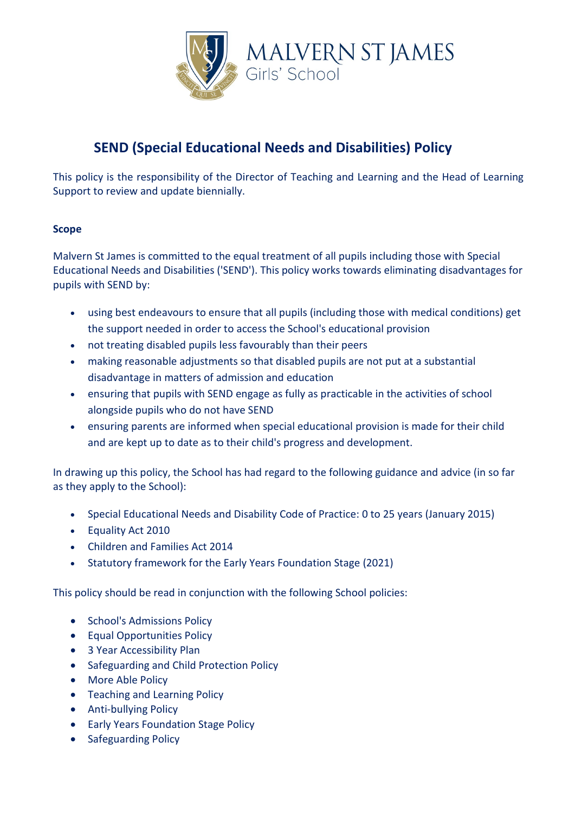

# **SEND (Special Educational Needs and Disabilities) Policy**

This policy is the responsibility of the Director of Teaching and Learning and the Head of Learning Support to review and update biennially.

# **Scope**

Malvern St James is committed to the equal treatment of all pupils including those with Special Educational Needs and Disabilities ('SEND'). This policy works towards eliminating disadvantages for pupils with SEND by:

- using best endeavours to ensure that all pupils (including those with medical conditions) get the support needed in order to access the School's educational provision
- not treating disabled pupils less favourably than their peers
- making reasonable adjustments so that disabled pupils are not put at a substantial disadvantage in matters of admission and education
- ensuring that pupils with SEND engage as fully as practicable in the activities of school alongside pupils who do not have SEND
- ensuring parents are informed when special educational provision is made for their child and are kept up to date as to their child's progress and development.

In drawing up this policy, the School has had regard to the following guidance and advice (in so far as they apply to the School):

- Special Educational Needs and Disability Code of Practice: 0 to 25 years (January 2015)
- Equality Act 2010
- Children and Families Act 2014
- Statutory framework for the Early Years Foundation Stage (2021)

This policy should be read in conjunction with the following School policies:

- School's Admissions Policy
- Equal Opportunities Policy
- 3 Year Accessibility Plan
- Safeguarding and Child Protection Policy
- More Able Policy
- Teaching and Learning Policy
- Anti-bullying Policy
- Early Years Foundation Stage Policy
- Safeguarding Policy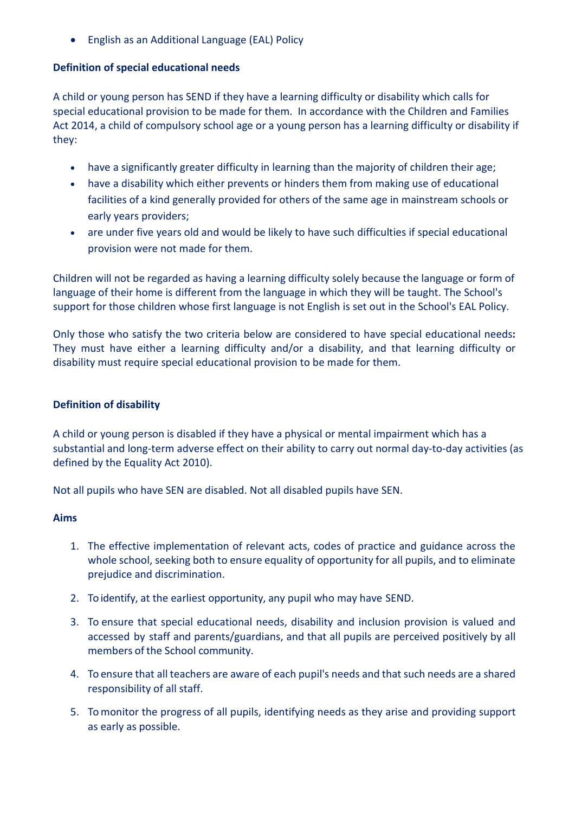• English as an Additional Language (EAL) Policy

#### **Definition of special educational needs**

A child or young person has SEND if they have a learning difficulty or disability which calls for special educational provision to be made for them. In accordance with the Children and Families Act 2014, a child of compulsory school age or a young person has a learning difficulty or disability if they:

- have a significantly greater difficulty in learning than the majority of children their age;
- have a disability which either prevents or hinders them from making use of educational facilities of a kind generally provided for others of the same age in mainstream schools or early years providers;
- are under five years old and would be likely to have such difficulties if special educational provision were not made for them.

Children will not be regarded as having a learning difficulty solely because the language or form of language of their home is different from the language in which they will be taught. The School's support for those children whose first language is not English is set out in the School's EAL Policy.

Only those who satisfy the two criteria below are considered to have special educational needs**:**  They must have either a learning difficulty and/or a disability, and that learning difficulty or disability must require special educational provision to be made for them.

### **Definition of disability**

A child or young person is disabled if they have a physical or mental impairment which has a substantial and long-term adverse effect on their ability to carry out normal day-to-day activities (as defined by the Equality Act 2010).

Not all pupils who have SEN are disabled. Not all disabled pupils have SEN.

#### **Aims**

- 1. The effective implementation of relevant acts, codes of practice and guidance across the whole school, seeking both to ensure equality of opportunity for all pupils, and to eliminate prejudice and discrimination.
- 2. To identify, at the earliest opportunity, any pupil who may have SEND.
- 3. To ensure that special educational needs, disability and inclusion provision is valued and accessed by staff and parents/guardians, and that all pupils are perceived positively by all members of the School community.
- 4. To ensure that all teachers are aware of each pupil's needs and that such needs are a shared responsibility of all staff.
- 5. To monitor the progress of all pupils, identifying needs as they arise and providing support as early as possible.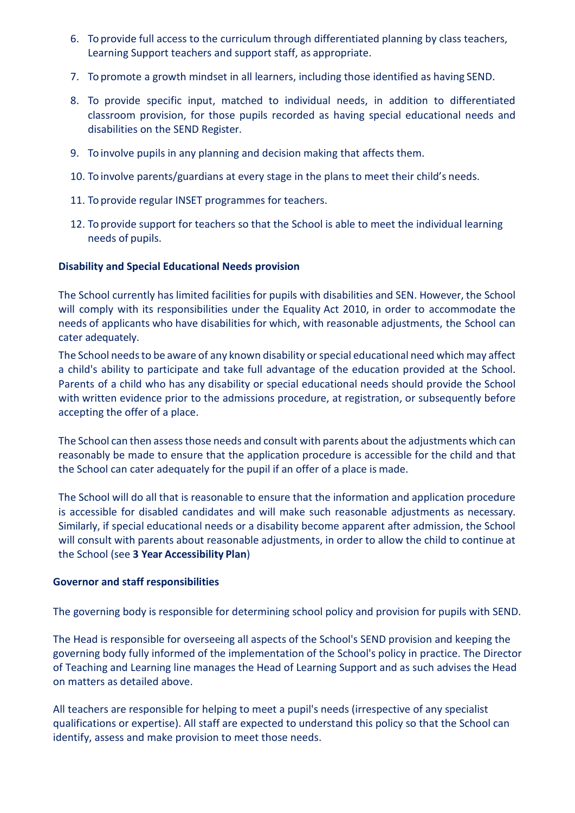- 6. To provide full access to the curriculum through differentiated planning by class teachers, Learning Support teachers and support staff, as appropriate.
- 7. To promote a growth mindset in all learners, including those identified as having SEND.
- 8. To provide specific input, matched to individual needs, in addition to differentiated classroom provision, for those pupils recorded as having special educational needs and disabilities on the SEND Register.
- 9. To involve pupils in any planning and decision making that affects them.
- 10. To involve parents/guardians at every stage in the plans to meet their child's needs.
- 11. To provide regular INSET programmes for teachers.
- 12. To provide support for teachers so that the School is able to meet the individual learning needs of pupils.

# **Disability and Special Educational Needs provision**

The School currently has limited facilities for pupils with disabilities and SEN. However, the School will comply with its responsibilities under the Equality Act 2010, in order to accommodate the needs of applicants who have disabilities for which, with reasonable adjustments, the School can cater adequately.

The School needs to be aware of any known disability or special educational need which may affect a child's ability to participate and take full advantage of the education provided at the School. Parents of a child who has any disability or special educational needs should provide the School with written evidence prior to the admissions procedure, at registration, or subsequently before accepting the offer of a place.

The School can then assessthose needs and consult with parents about the adjustments which can reasonably be made to ensure that the application procedure is accessible for the child and that the School can cater adequately for the pupil if an offer of a place is made.

The School will do all that is reasonable to ensure that the information and application procedure is accessible for disabled candidates and will make such reasonable adjustments as necessary. Similarly, if special educational needs or a disability become apparent after admission, the School will consult with parents about reasonable adjustments, in order to allow the child to continue at the School (see **3 Year Accessibility Plan**)

#### **Governor and staff responsibilities**

The governing body is responsible for determining school policy and provision for pupils with SEND.

The Head is responsible for overseeing all aspects of the School's SEND provision and keeping the governing body fully informed of the implementation of the School's policy in practice. The Director of Teaching and Learning line manages the Head of Learning Support and as such advises the Head on matters as detailed above.

All teachers are responsible for helping to meet a pupil's needs (irrespective of any specialist qualifications or expertise). All staff are expected to understand this policy so that the School can identify, assess and make provision to meet those needs.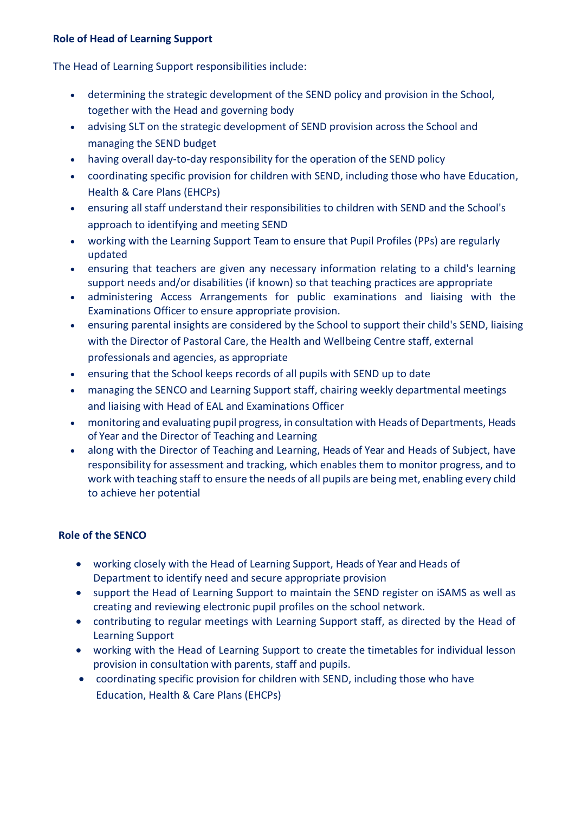### **Role of Head of Learning Support**

The Head of Learning Support responsibilities include:

- determining the strategic development of the SEND policy and provision in the School, together with the Head and governing body
- advising SLT on the strategic development of SEND provision across the School and managing the SEND budget
- having overall day-to-day responsibility for the operation of the SEND policy
- coordinating specific provision for children with SEND, including those who have Education, Health & Care Plans (EHCPs)
- ensuring all staff understand their responsibilities to children with SEND and the School's approach to identifying and meeting SEND
- working with the Learning Support Team to ensure that Pupil Profiles (PPs) are regularly updated
- ensuring that teachers are given any necessary information relating to a child's learning support needs and/or disabilities (if known) so that teaching practices are appropriate
- administering Access Arrangements for public examinations and liaising with the Examinations Officer to ensure appropriate provision.
- ensuring parental insights are considered by the School to support their child's SEND, liaising with the Director of Pastoral Care, the Health and Wellbeing Centre staff, external professionals and agencies, as appropriate
- ensuring that the School keeps records of all pupils with SEND up to date
- managing the SENCO and Learning Support staff, chairing weekly departmental meetings and liaising with Head of EAL and Examinations Officer
- monitoring and evaluating pupil progress, in consultation with Heads of Departments, Heads of Year and the Director of Teaching and Learning
- along with the Director of Teaching and Learning, Heads of Year and Heads of Subject, have responsibility for assessment and tracking, which enables them to monitor progress, and to work with teaching staff to ensure the needs of all pupils are being met, enabling every child to achieve her potential

# **Role of the SENCO**

- working closely with the Head of Learning Support, Heads of Year and Heads of Department to identify need and secure appropriate provision
- support the Head of Learning Support to maintain the SEND register on iSAMS as well as creating and reviewing electronic pupil profiles on the school network.
- contributing to regular meetings with Learning Support staff, as directed by the Head of Learning Support
- working with the Head of Learning Support to create the timetables for individual lesson provision in consultation with parents, staff and pupils.
- coordinating specific provision for children with SEND, including those who have Education, Health & Care Plans (EHCPs)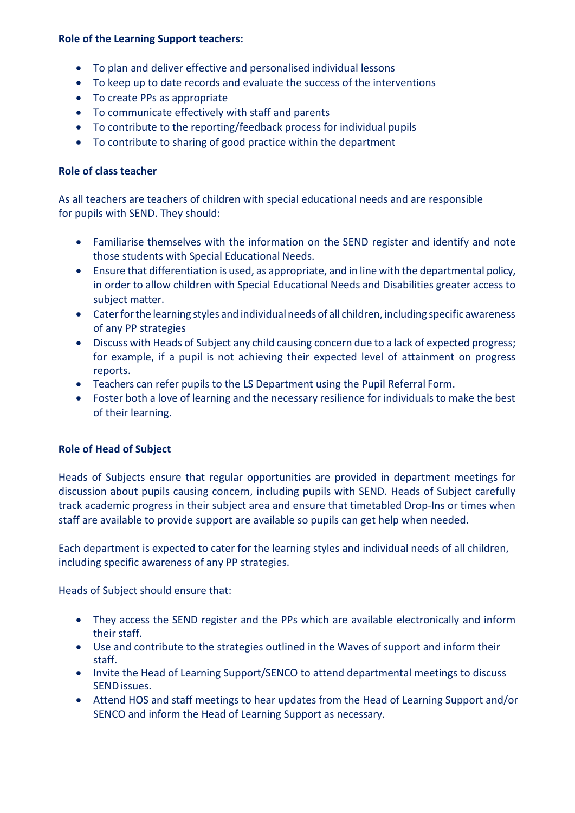#### **Role of the Learning Support teachers:**

- To plan and deliver effective and personalised individual lessons
- To keep up to date records and evaluate the success of the interventions
- To create PPs as appropriate
- To communicate effectively with staff and parents
- To contribute to the reporting/feedback process for individual pupils
- To contribute to sharing of good practice within the department

# **Role of class teacher**

As all teachers are teachers of children with special educational needs and are responsible for pupils with SEND. They should:

- Familiarise themselves with the information on the SEND register and identify and note those students with Special Educational Needs.
- Ensure that differentiation is used, as appropriate, and in line with the departmental policy, in order to allow children with Special Educational Needs and Disabilities greater access to subject matter.
- Caterforthe learning styles and individual needs of all children, including specific awareness of any PP strategies
- Discuss with Heads of Subject any child causing concern due to a lack of expected progress; for example, if a pupil is not achieving their expected level of attainment on progress reports.
- Teachers can refer pupils to the LS Department using the Pupil Referral Form.
- Foster both a love of learning and the necessary resilience for individuals to make the best of their learning.

# **Role of Head of Subject**

Heads of Subjects ensure that regular opportunities are provided in department meetings for discussion about pupils causing concern, including pupils with SEND. Heads of Subject carefully track academic progress in their subject area and ensure that timetabled Drop-Ins or times when staff are available to provide support are available so pupils can get help when needed.

Each department is expected to cater for the learning styles and individual needs of all children, including specific awareness of any PP strategies.

Heads of Subject should ensure that:

- They access the SEND register and the PPs which are available electronically and inform their staff.
- Use and contribute to the strategies outlined in the Waves of support and inform their staff.
- Invite the Head of Learning Support/SENCO to attend departmental meetings to discuss SENDissues.
- Attend HOS and staff meetings to hear updates from the Head of Learning Support and/or SENCO and inform the Head of Learning Support as necessary.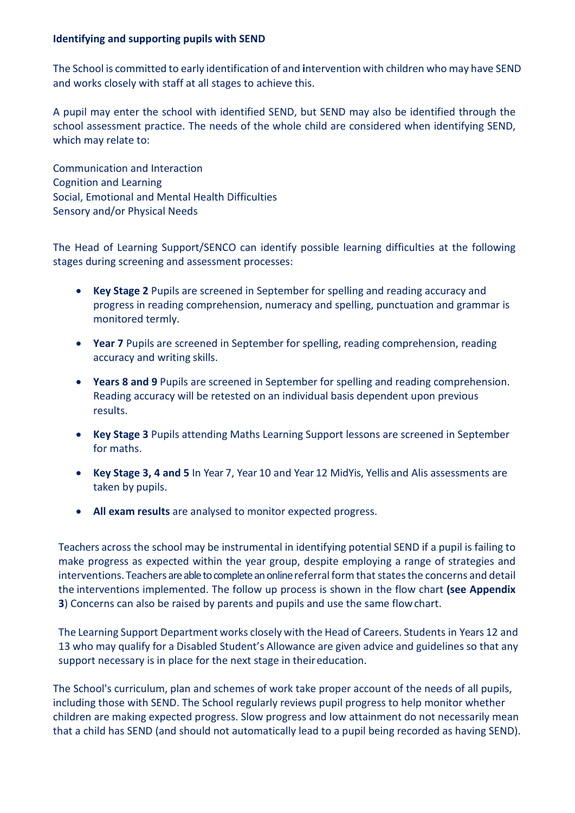#### **Identifying and supporting pupils with SEND**

The School is committed to early identification of and **i**ntervention with children who may have SEND and works closely with staff at all stages to achieve this.

A pupil may enter the school with identified SEND, but SEND may also be identified through the school assessment practice. The needs of the whole child are considered when identifying SEND, which may relate to:

Communication and Interaction Cognition and Learning Social, Emotional and Mental Health Difficulties Sensory and/or Physical Needs

The Head of Learning Support/SENCO can identify possible learning difficulties at the following stages during screening and assessment processes:

- **Key Stage 2** Pupils are screened in September for spelling and reading accuracy and progress in reading comprehension, numeracy and spelling, punctuation and grammar is monitored termly.
- **Year 7** Pupils are screened in September for spelling, reading comprehension, reading accuracy and writing skills.
- **Years 8 and 9** Pupils are screened in September for spelling and reading comprehension. Reading accuracy will be retested on an individual basis dependent upon previous results.
- **Key Stage 3** Pupils attending Maths Learning Support lessons are screened in September for maths.
- **Key Stage 3, 4 and 5** In Year 7, Year 10 and Year 12 MidYis, Yellis and Alis assessments are taken by pupils.
- **All exam results** are analysed to monitor expected progress.

Teachers across the school may be instrumental in identifying potential SEND if a pupil is failing to make progress as expected within the year group, despite employing a range of strategies and interventions. Teachers are able to complete an online referral form that states the concerns and detail the interventions implemented. The follow up process is shown in the flow chart **(see Appendix 3**) Concerns can also be raised by parents and pupils and use the same flowchart.

The Learning Support Department works closely with the Head of Careers. Students in Years 12 and 13 who may qualify for a Disabled Student's Allowance are given advice and guidelines so that any support necessary is in place for the next stage in theireducation.

The School's curriculum, plan and schemes of work take proper account of the needs of all pupils, including those with SEND. The School regularly reviews pupil progress to help monitor whether children are making expected progress. Slow progress and low attainment do not necessarily mean that a child has SEND (and should not automatically lead to a pupil being recorded as having SEND).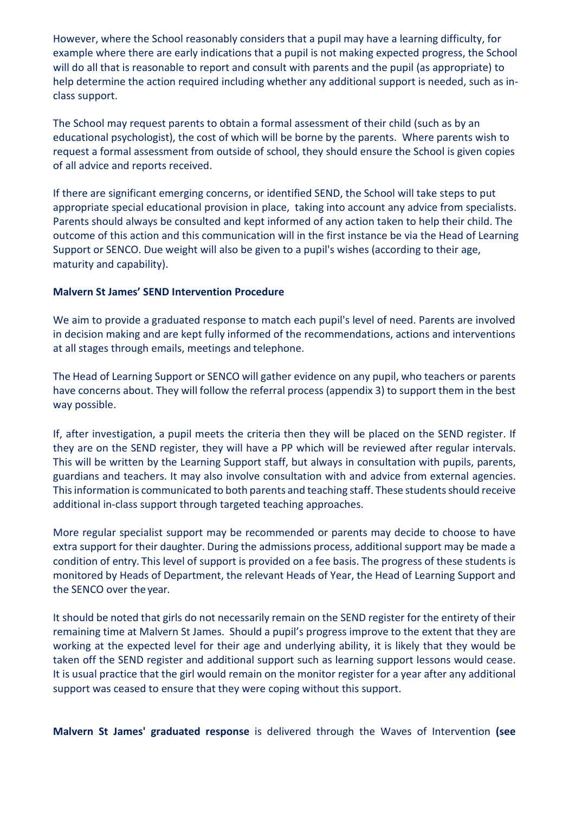However, where the School reasonably considers that a pupil may have a learning difficulty, for example where there are early indications that a pupil is not making expected progress, the School will do all that is reasonable to report and consult with parents and the pupil (as appropriate) to help determine the action required including whether any additional support is needed, such as inclass support.

The School may request parents to obtain a formal assessment of their child (such as by an educational psychologist), the cost of which will be borne by the parents. Where parents wish to request a formal assessment from outside of school, they should ensure the School is given copies of all advice and reports received.

If there are significant emerging concerns, or identified SEND, the School will take steps to put appropriate special educational provision in place, taking into account any advice from specialists. Parents should always be consulted and kept informed of any action taken to help their child. The outcome of this action and this communication will in the first instance be via the Head of Learning Support or SENCO. Due weight will also be given to a pupil's wishes (according to their age, maturity and capability).

#### **Malvern St James' SEND Intervention Procedure**

We aim to provide a graduated response to match each pupil's level of need. Parents are involved in decision making and are kept fully informed of the recommendations, actions and interventions at all stages through emails, meetings and telephone.

The Head of Learning Support or SENCO will gather evidence on any pupil, who teachers or parents have concerns about. They will follow the referral process (appendix 3) to support them in the best way possible.

If, after investigation, a pupil meets the criteria then they will be placed on the SEND register. If they are on the SEND register, they will have a PP which will be reviewed after regular intervals. This will be written by the Learning Support staff, but always in consultation with pupils, parents, guardians and teachers. It may also involve consultation with and advice from external agencies. This information is communicated to both parents and teaching staff. These students should receive additional in-class support through targeted teaching approaches.

More regular specialist support may be recommended or parents may decide to choose to have extra support for their daughter. During the admissions process, additional support may be made a condition of entry. This level of support is provided on a fee basis. The progress of these students is monitored by Heads of Department, the relevant Heads of Year, the Head of Learning Support and the SENCO over the year.

It should be noted that girls do not necessarily remain on the SEND register for the entirety of their remaining time at Malvern St James. Should a pupil's progress improve to the extent that they are working at the expected level for their age and underlying ability, it is likely that they would be taken off the SEND register and additional support such as learning support lessons would cease. It is usual practice that the girl would remain on the monitor register for a year after any additional support was ceased to ensure that they were coping without this support.

**Malvern St James' graduated response** is delivered through the Waves of Intervention **(see**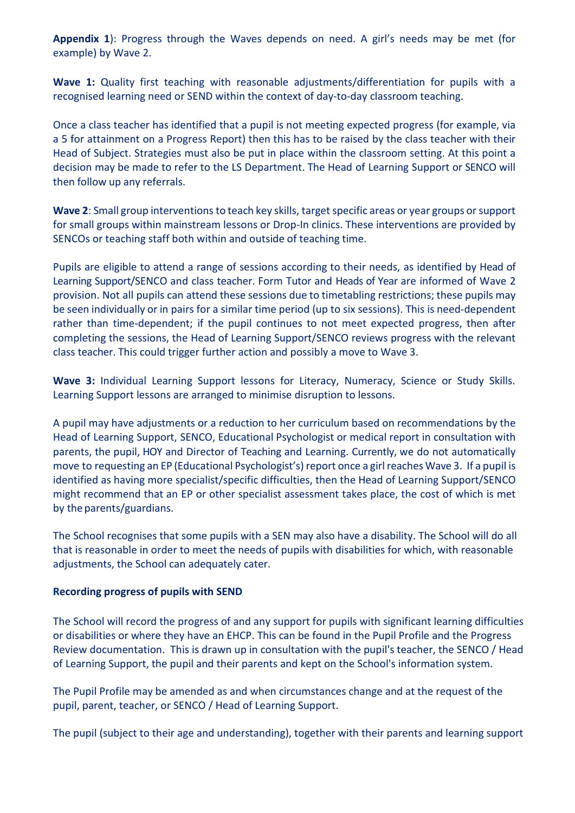**Appendix 1**): Progress through the Waves depends on need. A girl's needs may be met (for example) by Wave 2.

Wave 1: Quality first teaching with reasonable adjustments/differentiation for pupils with a recognised learning need or SEND within the context of day-to-day classroom teaching.

Once a class teacher has identified that a pupil is not meeting expected progress (for example, via a 5 for attainment on a Progress Report) then this has to be raised by the class teacher with their Head of Subject. Strategies must also be put in place within the classroom setting. At this point a decision may be made to refer to the LS Department. The Head of Learning Support or SENCO will then follow up any referrals.

Wave 2: Small group interventions to teach key skills, target specific areas or year groups or support for small groups within mainstream lessons or Drop-In clinics. These interventions are provided by SENCOs or teaching staff both within and outside of teaching time.

Pupils are eligible to attend a range of sessions according to their needs, as identified by Head of Learning Support/SENCO and class teacher. Form Tutor and Heads of Year are informed of Wave 2 provision. Not all pupils can attend these sessions due to timetabling restrictions; these pupils may be seen individually or in pairs for a similar time period (up to six sessions). This is need-dependent rather than time-dependent; if the pupil continues to not meet expected progress, then after completing the sessions, the Head of Learning Support/SENCO reviews progress with the relevant class teacher. This could trigger further action and possibly a move to Wave 3.

**Wave 3:** Individual Learning Support lessons for Literacy, Numeracy, Science or Study Skills. Learning Support lessons are arranged to minimise disruption to lessons.

A pupil may have adjustments or a reduction to her curriculum based on recommendations by the Head of Learning Support, SENCO, Educational Psychologist or medical report in consultation with parents, the pupil, HOY and Director of Teaching and Learning. Currently, we do not automatically move to requesting an EP (Educational Psychologist's) report once a girlreaches Wave 3. If a pupil is identified as having more specialist/specific difficulties, then the Head of Learning Support/SENCO might recommend that an EP or other specialist assessment takes place, the cost of which is met by the parents/guardians.

The School recognises that some pupils with a SEN may also have a disability. The School will do all that is reasonable in order to meet the needs of pupils with disabilities for which, with reasonable adjustments, the School can adequately cater.

#### **Recording progress of pupils with SEND**

The School will record the progress of and any support for pupils with significant learning difficulties or disabilities or where they have an EHCP. This can be found in the Pupil Profile and the Progress Review documentation. This is drawn up in consultation with the pupil's teacher, the SENCO / Head of Learning Support, the pupil and their parents and kept on the School's information system.

The Pupil Profile may be amended as and when circumstances change and at the request of the pupil, parent, teacher, or SENCO / Head of Learning Support.

The pupil (subject to their age and understanding), together with their parents and learning support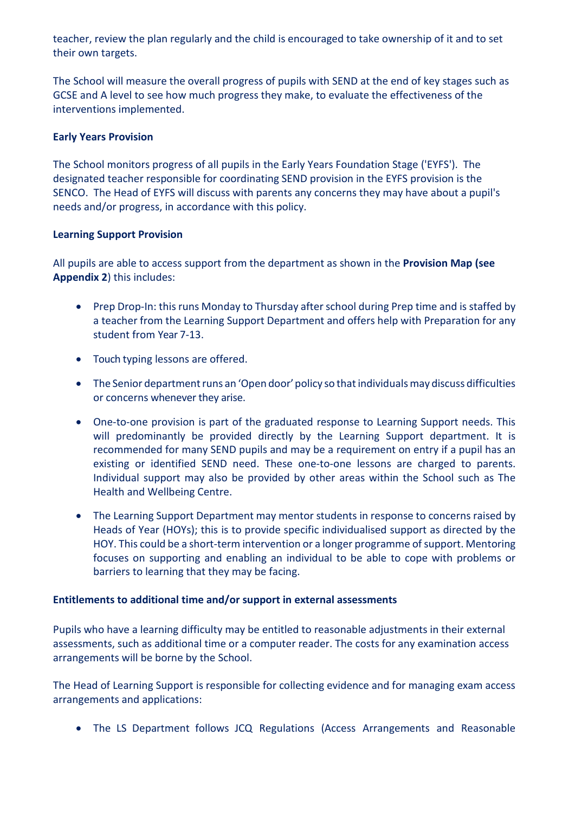teacher, review the plan regularly and the child is encouraged to take ownership of it and to set their own targets.

The School will measure the overall progress of pupils with SEND at the end of key stages such as GCSE and A level to see how much progress they make, to evaluate the effectiveness of the interventions implemented.

# **Early Years Provision**

The School monitors progress of all pupils in the Early Years Foundation Stage ('EYFS'). The designated teacher responsible for coordinating SEND provision in the EYFS provision is the SENCO. The Head of EYFS will discuss with parents any concerns they may have about a pupil's needs and/or progress, in accordance with this policy.

# **Learning Support Provision**

All pupils are able to access support from the department as shown in the **Provision Map (see Appendix 2**) this includes:

- Prep Drop-In: this runs Monday to Thursday after school during Prep time and is staffed by a teacher from the Learning Support Department and offers help with Preparation for any student from Year 7-13.
- Touch typing lessons are offered.
- The Senior department runs an 'Open door' policy so that individuals may discuss difficulties or concerns whenever they arise.
- One-to-one provision is part of the graduated response to Learning Support needs. This will predominantly be provided directly by the Learning Support department. It is recommended for many SEND pupils and may be a requirement on entry if a pupil has an existing or identified SEND need. These one-to-one lessons are charged to parents. Individual support may also be provided by other areas within the School such as The Health and Wellbeing Centre.
- The Learning Support Department may mentor students in response to concerns raised by Heads of Year (HOYs); this is to provide specific individualised support as directed by the HOY. This could be a short-term intervention or a longer programme of support. Mentoring focuses on supporting and enabling an individual to be able to cope with problems or barriers to learning that they may be facing.

#### **Entitlements to additional time and/or support in external assessments**

Pupils who have a learning difficulty may be entitled to reasonable adjustments in their external assessments, such as additional time or a computer reader. The costs for any examination access arrangements will be borne by the School.

The Head of Learning Support is responsible for collecting evidence and for managing exam access arrangements and applications:

• The LS Department follows JCQ Regulations (Access Arrangements and Reasonable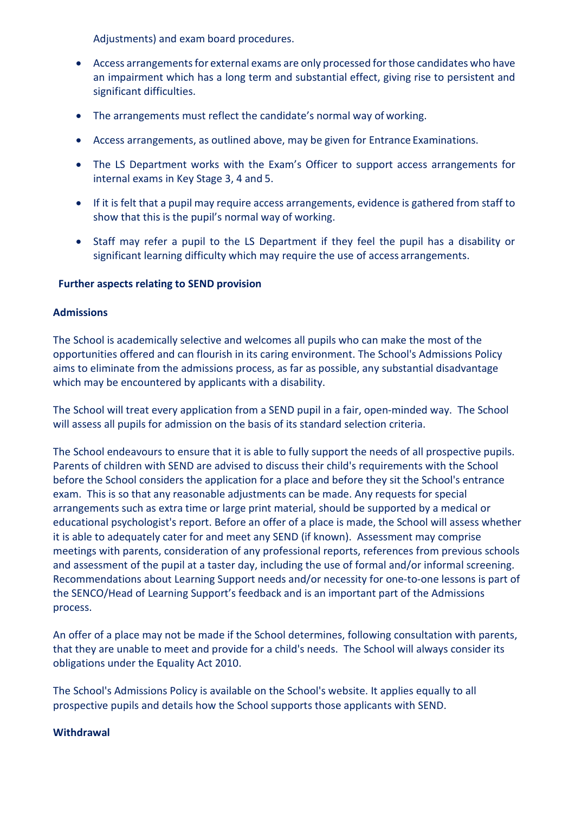Adjustments) and exam board procedures.

- Access arrangements for external exams are only processed for those candidates who have an impairment which has a long term and substantial effect, giving rise to persistent and significant difficulties.
- The arrangements must reflect the candidate's normal way of working.
- Access arrangements, as outlined above, may be given for Entrance Examinations.
- The LS Department works with the Exam's Officer to support access arrangements for internal exams in Key Stage 3, 4 and 5.
- If it is felt that a pupil may require access arrangements, evidence is gathered from staff to show that this is the pupil's normal way of working.
- Staff may refer a pupil to the LS Department if they feel the pupil has a disability or significant learning difficulty which may require the use of access arrangements.

# **Further aspects relating to SEND provision**

# **Admissions**

The School is academically selective and welcomes all pupils who can make the most of the opportunities offered and can flourish in its caring environment. The School's Admissions Policy aims to eliminate from the admissions process, as far as possible, any substantial disadvantage which may be encountered by applicants with a disability.

The School will treat every application from a SEND pupil in a fair, open-minded way. The School will assess all pupils for admission on the basis of its standard selection criteria.

The School endeavours to ensure that it is able to fully support the needs of all prospective pupils. Parents of children with SEND are advised to discuss their child's requirements with the School before the School considers the application for a place and before they sit the School's entrance exam. This is so that any reasonable adjustments can be made. Any requests for special arrangements such as extra time or large print material, should be supported by a medical or educational psychologist's report. Before an offer of a place is made, the School will assess whether it is able to adequately cater for and meet any SEND (if known). Assessment may comprise meetings with parents, consideration of any professional reports, references from previous schools and assessment of the pupil at a taster day, including the use of formal and/or informal screening. Recommendations about Learning Support needs and/or necessity for one-to-one lessons is part of the SENCO/Head of Learning Support's feedback and is an important part of the Admissions process.

An offer of a place may not be made if the School determines, following consultation with parents, that they are unable to meet and provide for a child's needs. The School will always consider its obligations under the Equality Act 2010.

The School's Admissions Policy is available on the School's website. It applies equally to all prospective pupils and details how the School supports those applicants with SEND.

#### **Withdrawal**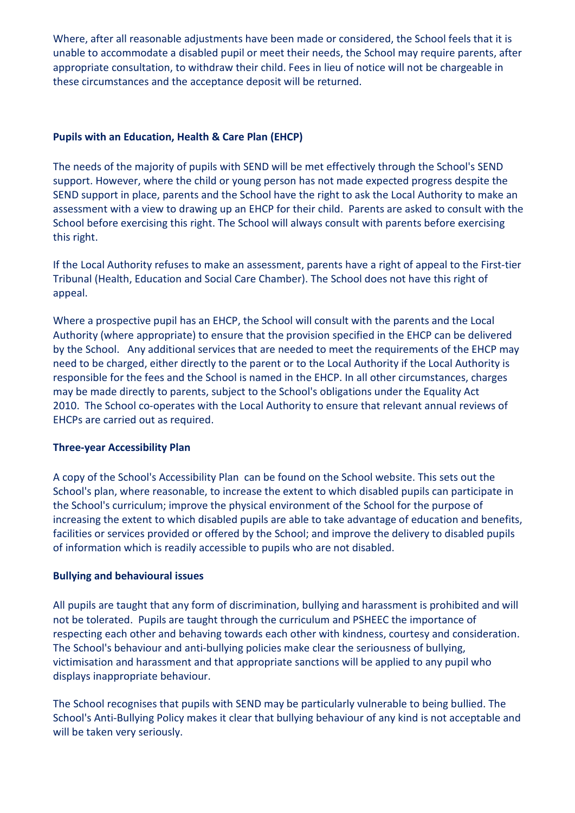Where, after all reasonable adjustments have been made or considered, the School feels that it is unable to accommodate a disabled pupil or meet their needs, the School may require parents, after appropriate consultation, to withdraw their child. Fees in lieu of notice will not be chargeable in these circumstances and the acceptance deposit will be returned.

# **Pupils with an Education, Health & Care Plan (EHCP)**

The needs of the majority of pupils with SEND will be met effectively through the School's SEND support. However, where the child or young person has not made expected progress despite the SEND support in place, parents and the School have the right to ask the Local Authority to make an assessment with a view to drawing up an EHCP for their child. Parents are asked to consult with the School before exercising this right. The School will always consult with parents before exercising this right.

If the Local Authority refuses to make an assessment, parents have a right of appeal to the First-tier Tribunal (Health, Education and Social Care Chamber). The School does not have this right of appeal.

Where a prospective pupil has an EHCP, the School will consult with the parents and the Local Authority (where appropriate) to ensure that the provision specified in the EHCP can be delivered by the School. Any additional services that are needed to meet the requirements of the EHCP may need to be charged, either directly to the parent or to the Local Authority if the Local Authority is responsible for the fees and the School is named in the EHCP. In all other circumstances, charges may be made directly to parents, subject to the School's obligations under the Equality Act 2010. The School co-operates with the Local Authority to ensure that relevant annual reviews of EHCPs are carried out as required.

#### **Three-year Accessibility Plan**

A copy of the School's Accessibility Plan can be found on the School website. This sets out the School's plan, where reasonable, to increase the extent to which disabled pupils can participate in the School's curriculum; improve the physical environment of the School for the purpose of increasing the extent to which disabled pupils are able to take advantage of education and benefits, facilities or services provided or offered by the School; and improve the delivery to disabled pupils of information which is readily accessible to pupils who are not disabled.

# **Bullying and behavioural issues**

All pupils are taught that any form of discrimination, bullying and harassment is prohibited and will not be tolerated. Pupils are taught through the curriculum and PSHEEC the importance of respecting each other and behaving towards each other with kindness, courtesy and consideration. The School's behaviour and anti-bullying policies make clear the seriousness of bullying, victimisation and harassment and that appropriate sanctions will be applied to any pupil who displays inappropriate behaviour.

The School recognises that pupils with SEND may be particularly vulnerable to being bullied. The School's Anti-Bullying Policy makes it clear that bullying behaviour of any kind is not acceptable and will be taken very seriously.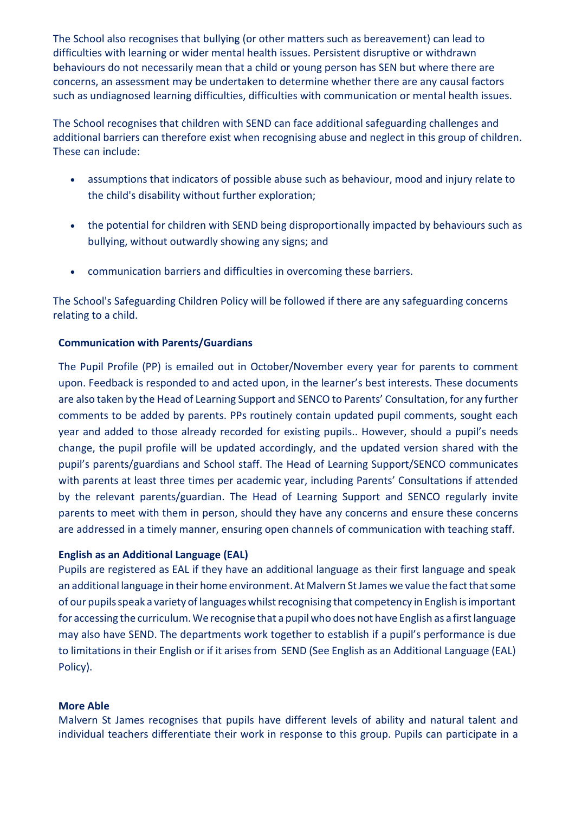The School also recognises that bullying (or other matters such as bereavement) can lead to difficulties with learning or wider mental health issues. Persistent disruptive or withdrawn behaviours do not necessarily mean that a child or young person has SEN but where there are concerns, an assessment may be undertaken to determine whether there are any causal factors such as undiagnosed learning difficulties, difficulties with communication or mental health issues.

The School recognises that children with SEND can face additional safeguarding challenges and additional barriers can therefore exist when recognising abuse and neglect in this group of children. These can include:

- assumptions that indicators of possible abuse such as behaviour, mood and injury relate to the child's disability without further exploration;
- the potential for children with SEND being disproportionally impacted by behaviours such as bullying, without outwardly showing any signs; and
- communication barriers and difficulties in overcoming these barriers.

The School's Safeguarding Children Policy will be followed if there are any safeguarding concerns relating to a child.

# **Communication with Parents/Guardians**

The Pupil Profile (PP) is emailed out in October/November every year for parents to comment upon. Feedback is responded to and acted upon, in the learner's best interests. These documents are also taken by the Head of Learning Support and SENCO to Parents' Consultation, for any further comments to be added by parents. PPs routinely contain updated pupil comments, sought each year and added to those already recorded for existing pupils.. However, should a pupil's needs change, the pupil profile will be updated accordingly, and the updated version shared with the pupil's parents/guardians and School staff. The Head of Learning Support/SENCO communicates with parents at least three times per academic year, including Parents' Consultations if attended by the relevant parents/guardian. The Head of Learning Support and SENCO regularly invite parents to meet with them in person, should they have any concerns and ensure these concerns are addressed in a timely manner, ensuring open channels of communication with teaching staff.

# **English as an Additional Language (EAL)**

Pupils are registered as EAL if they have an additional language as their first language and speak an additional language in their home environment. At Malvern St James we value the fact that some of our pupils speak a variety of languages whilst recognising that competency in English is important for accessing the curriculum. We recognise that a pupil who does not have English as a first language may also have SEND. The departments work together to establish if a pupil's performance is due to limitations in their English or if it arises from SEND (See English as an Additional Language (EAL) Policy).

# **More Able**

Malvern St James recognises that pupils have different levels of ability and natural talent and individual teachers differentiate their work in response to this group. Pupils can participate in a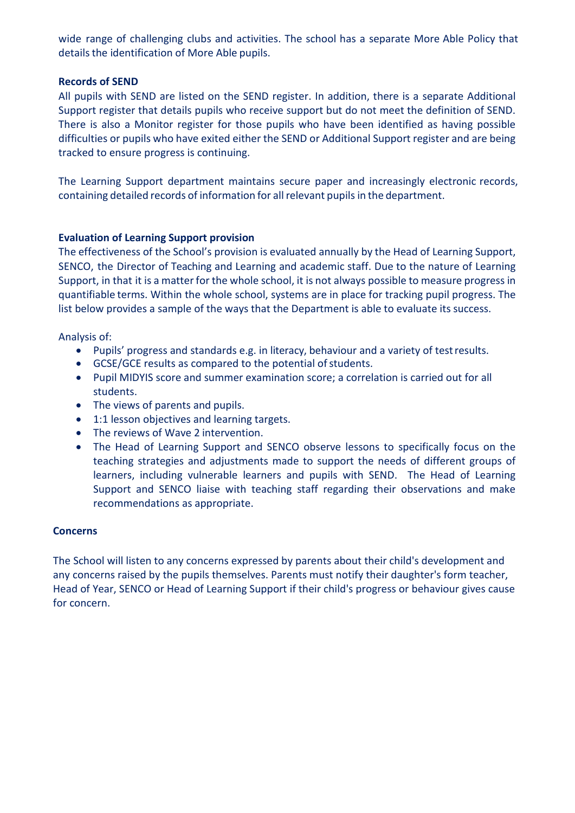wide range of challenging clubs and activities. The school has a separate More Able Policy that details the identification of More Able pupils.

#### **Records of SEND**

All pupils with SEND are listed on the SEND register. In addition, there is a separate Additional Support register that details pupils who receive support but do not meet the definition of SEND. There is also a Monitor register for those pupils who have been identified as having possible difficulties or pupils who have exited either the SEND or Additional Support register and are being tracked to ensure progress is continuing.

The Learning Support department maintains secure paper and increasingly electronic records, containing detailed records of information for all relevant pupils in the department.

#### **Evaluation of Learning Support provision**

The effectiveness of the School's provision is evaluated annually by the Head of Learning Support, SENCO, the Director of Teaching and Learning and academic staff. Due to the nature of Learning Support, in that it is a matter for the whole school, it is not always possible to measure progress in quantifiable terms. Within the whole school, systems are in place for tracking pupil progress. The list below provides a sample of the ways that the Department is able to evaluate its success.

Analysis of:

- Pupils' progress and standards e.g. in literacy, behaviour and a variety of testresults.
- GCSE/GCE results as compared to the potential of students.
- Pupil MIDYIS score and summer examination score; a correlation is carried out for all students.
- The views of parents and pupils.
- 1:1 lesson objectives and learning targets.
- The reviews of Wave 2 intervention.
- The Head of Learning Support and SENCO observe lessons to specifically focus on the teaching strategies and adjustments made to support the needs of different groups of learners, including vulnerable learners and pupils with SEND. The Head of Learning Support and SENCO liaise with teaching staff regarding their observations and make recommendations as appropriate.

#### **Concerns**

The School will listen to any concerns expressed by parents about their child's development and any concerns raised by the pupils themselves. Parents must notify their daughter's form teacher, Head of Year, SENCO or Head of Learning Support if their child's progress or behaviour gives cause for concern.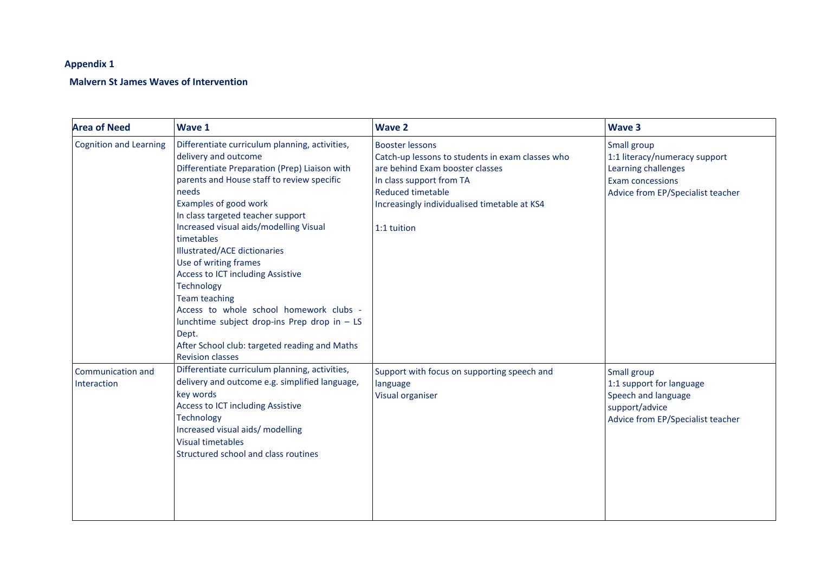# **Appendix 1**

# **Malvern St James Waves of Intervention**

| <b>Area of Need</b>              | Wave 1                                                                                                                                                                                                                                                                                                                                                                                                                                                                                                                                                                                                                          | <b>Wave 2</b>                                                                                                                                                                                                                        | <b>Wave 3</b>                                                                                                                       |
|----------------------------------|---------------------------------------------------------------------------------------------------------------------------------------------------------------------------------------------------------------------------------------------------------------------------------------------------------------------------------------------------------------------------------------------------------------------------------------------------------------------------------------------------------------------------------------------------------------------------------------------------------------------------------|--------------------------------------------------------------------------------------------------------------------------------------------------------------------------------------------------------------------------------------|-------------------------------------------------------------------------------------------------------------------------------------|
| <b>Cognition and Learning</b>    | Differentiate curriculum planning, activities,<br>delivery and outcome<br>Differentiate Preparation (Prep) Liaison with<br>parents and House staff to review specific<br>needs<br>Examples of good work<br>In class targeted teacher support<br>Increased visual aids/modelling Visual<br>timetables<br>Illustrated/ACE dictionaries<br>Use of writing frames<br><b>Access to ICT including Assistive</b><br>Technology<br><b>Team teaching</b><br>Access to whole school homework clubs -<br>lunchtime subject drop-ins Prep drop in - LS<br>Dept.<br>After School club: targeted reading and Maths<br><b>Revision classes</b> | <b>Booster lessons</b><br>Catch-up lessons to students in exam classes who<br>are behind Exam booster classes<br>In class support from TA<br><b>Reduced timetable</b><br>Increasingly individualised timetable at KS4<br>1:1 tuition | Small group<br>1:1 literacy/numeracy support<br>Learning challenges<br><b>Exam concessions</b><br>Advice from EP/Specialist teacher |
| Communication and<br>Interaction | Differentiate curriculum planning, activities,<br>delivery and outcome e.g. simplified language,<br>key words<br>Access to ICT including Assistive<br>Technology<br>Increased visual aids/ modelling<br><b>Visual timetables</b><br>Structured school and class routines                                                                                                                                                                                                                                                                                                                                                        | Support with focus on supporting speech and<br>language<br>Visual organiser                                                                                                                                                          | Small group<br>1:1 support for language<br>Speech and language<br>support/advice<br>Advice from EP/Specialist teacher               |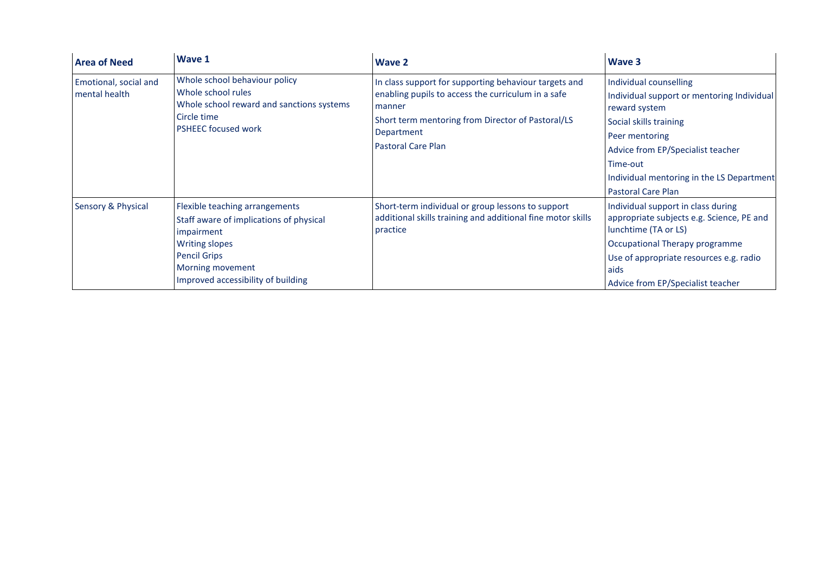| <b>Area of Need</b>                    | Wave 1                                                                                                                                                                                            | Wave 2                                                                                                                                                                                                                | <b>Wave 3</b>                                                                                                                                                                                                                                                |
|----------------------------------------|---------------------------------------------------------------------------------------------------------------------------------------------------------------------------------------------------|-----------------------------------------------------------------------------------------------------------------------------------------------------------------------------------------------------------------------|--------------------------------------------------------------------------------------------------------------------------------------------------------------------------------------------------------------------------------------------------------------|
| Emotional, social and<br>mental health | Whole school behaviour policy<br>Whole school rules<br>Whole school reward and sanctions systems<br>Circle time<br><b>PSHEEC focused work</b>                                                     | In class support for supporting behaviour targets and<br>enabling pupils to access the curriculum in a safe<br>manner<br>Short term mentoring from Director of Pastoral/LS<br>Department<br><b>Pastoral Care Plan</b> | Individual counselling<br>Individual support or mentoring Individual<br>reward system<br>Social skills training<br>Peer mentoring<br>Advice from EP/Specialist teacher<br>Time-out<br>Individual mentoring in the LS Department<br><b>Pastoral Care Plan</b> |
| <b>Sensory &amp; Physical</b>          | Flexible teaching arrangements<br>Staff aware of implications of physical<br>impairment<br><b>Writing slopes</b><br><b>Pencil Grips</b><br>Morning movement<br>Improved accessibility of building | Short-term individual or group lessons to support<br>additional skills training and additional fine motor skills<br>practice                                                                                          | Individual support in class during<br>appropriate subjects e.g. Science, PE and<br>lunchtime (TA or LS)<br>Occupational Therapy programme<br>Use of appropriate resources e.g. radio<br>aids<br>Advice from EP/Specialist teacher                            |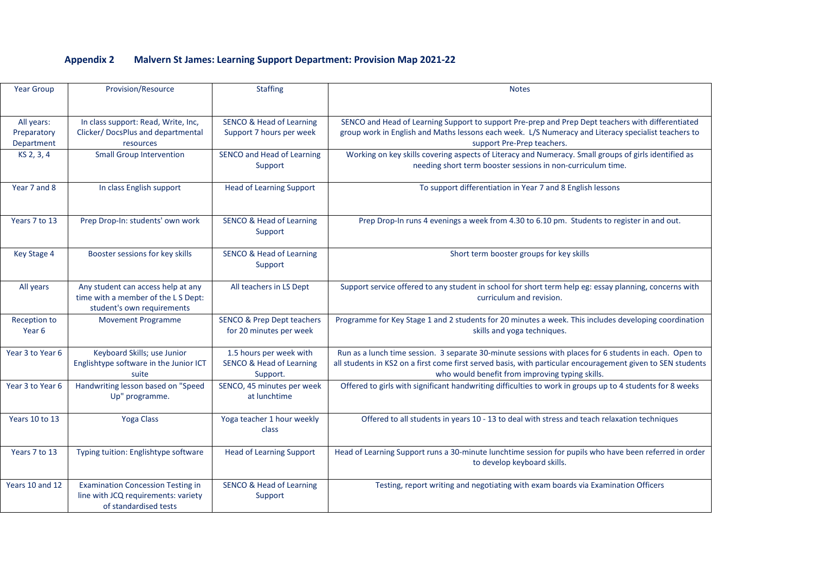# **Appendix 2 Malvern St James: Learning Support Department: Provision Map 2021-22**

| <b>Year Group</b>                       | <b>Provision/Resource</b>                                                                                | <b>Staffing</b>                                                            | <b>Notes</b>                                                                                                                                                                                                                                                             |
|-----------------------------------------|----------------------------------------------------------------------------------------------------------|----------------------------------------------------------------------------|--------------------------------------------------------------------------------------------------------------------------------------------------------------------------------------------------------------------------------------------------------------------------|
| All years:<br>Preparatory<br>Department | In class support: Read, Write, Inc,<br>Clicker/ DocsPlus and departmental<br>resources                   | <b>SENCO &amp; Head of Learning</b><br>Support 7 hours per week            | SENCO and Head of Learning Support to support Pre-prep and Prep Dept teachers with differentiated<br>group work in English and Maths lessons each week. L/S Numeracy and Literacy specialist teachers to<br>support Pre-Prep teachers.                                   |
| KS 2, 3, 4                              | <b>Small Group Intervention</b>                                                                          | SENCO and Head of Learning<br>Support                                      | Working on key skills covering aspects of Literacy and Numeracy. Small groups of girls identified as<br>needing short term booster sessions in non-curriculum time.                                                                                                      |
| Year 7 and 8                            | In class English support                                                                                 | <b>Head of Learning Support</b>                                            | To support differentiation in Year 7 and 8 English lessons                                                                                                                                                                                                               |
| Years 7 to 13                           | Prep Drop-In: students' own work                                                                         | <b>SENCO &amp; Head of Learning</b><br>Support                             | Prep Drop-In runs 4 evenings a week from 4.30 to 6.10 pm. Students to register in and out.                                                                                                                                                                               |
| Key Stage 4                             | Booster sessions for key skills                                                                          | <b>SENCO &amp; Head of Learning</b><br>Support                             | Short term booster groups for key skills                                                                                                                                                                                                                                 |
| All years                               | Any student can access help at any<br>time with a member of the LS Dept:<br>student's own requirements   | All teachers in LS Dept                                                    | Support service offered to any student in school for short term help eg: essay planning, concerns with<br>curriculum and revision.                                                                                                                                       |
| Reception to<br>Year 6                  | <b>Movement Programme</b>                                                                                | <b>SENCO &amp; Prep Dept teachers</b><br>for 20 minutes per week           | Programme for Key Stage 1 and 2 students for 20 minutes a week. This includes developing coordination<br>skills and yoga techniques.                                                                                                                                     |
| Year 3 to Year 6                        | Keyboard Skills; use Junior<br>Englishtype software in the Junior ICT<br>suite                           | 1.5 hours per week with<br><b>SENCO &amp; Head of Learning</b><br>Support. | Run as a lunch time session. 3 separate 30-minute sessions with places for 6 students in each. Open to<br>all students in KS2 on a first come first served basis, with particular encouragement given to SEN students<br>who would benefit from improving typing skills. |
| Year 3 to Year 6                        | Handwriting lesson based on "Speed<br>Up" programme.                                                     | SENCO, 45 minutes per week<br>at lunchtime                                 | Offered to girls with significant handwriting difficulties to work in groups up to 4 students for 8 weeks                                                                                                                                                                |
| Years 10 to 13                          | <b>Yoga Class</b>                                                                                        | Yoga teacher 1 hour weekly<br>class                                        | Offered to all students in years 10 - 13 to deal with stress and teach relaxation techniques                                                                                                                                                                             |
| Years 7 to 13                           | Typing tuition: Englishtype software                                                                     | <b>Head of Learning Support</b>                                            | Head of Learning Support runs a 30-minute lunchtime session for pupils who have been referred in order<br>to develop keyboard skills.                                                                                                                                    |
| Years 10 and 12                         | <b>Examination Concession Testing in</b><br>line with JCQ requirements: variety<br>of standardised tests | <b>SENCO &amp; Head of Learning</b><br>Support                             | Testing, report writing and negotiating with exam boards via Examination Officers                                                                                                                                                                                        |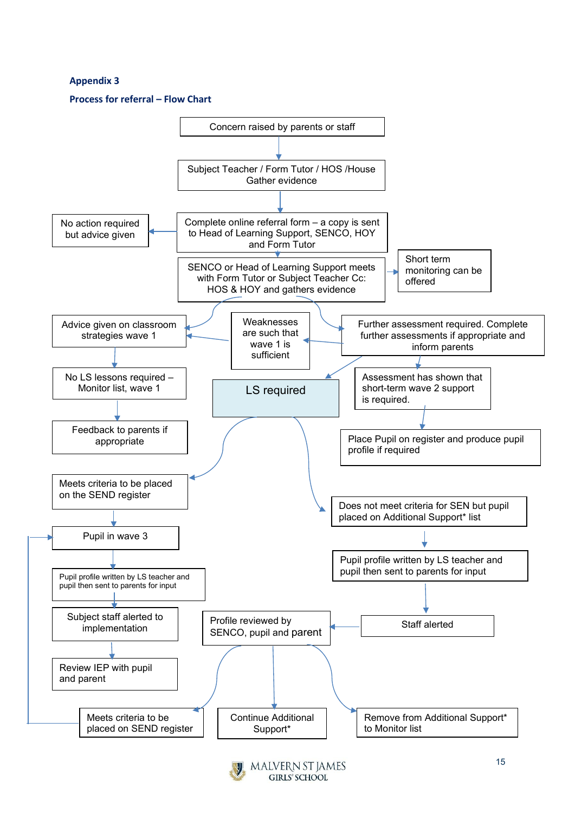# **Appendix 3**

#### **Process for referral – Flow Chart**